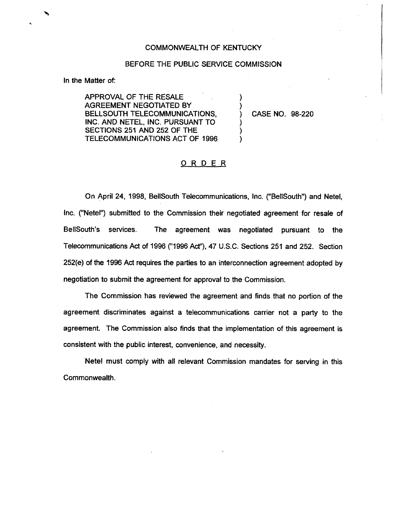## COMMONWEALTH OF KENTUCKY

## BEFORE THE PUBLIC SERVICE COMMISSION

) )

) ) )

In the Matter of:

APPROVAL OF THE RESALE AGREEMENT NEGOTIATED BY BELLSOUTH TELECOMMUNICATIONS, INC. AND NETEL, INC. PURSUANT TO SECTIONS 251 AND 252 OF THE TELECOMMUNICATIONS ACT OF 1996

) CASE NO. 98-220

## ORDER

On April 24, 1998, BellSouth Telecommunications, Inc. ("BellSouth") and Netel, Inc. ("Netel") submitted to the Commission their negotiated agreement for resale of BellSouth's services. The agreement was negotiated pursuant to the Telecommunications Act of 1996 ("1996Act"), 47 U.S.C. Sections 251 and 252. Section 252(e) of the 1996Act requires the parties to an interconnection agreement adopted by negotiation to submit the agreement for approval to the Commission.

The Commission has reviewed the agreement and finds that no portion of the agreement discriminates against a telecommunications carrier not a party to the agreement. The Commission also finds that the implementation of this agreement is consistent with the public interest, convenience, and necessity.

Netel must comply with all relevant Commission mandates for serving in this Commonwealth.